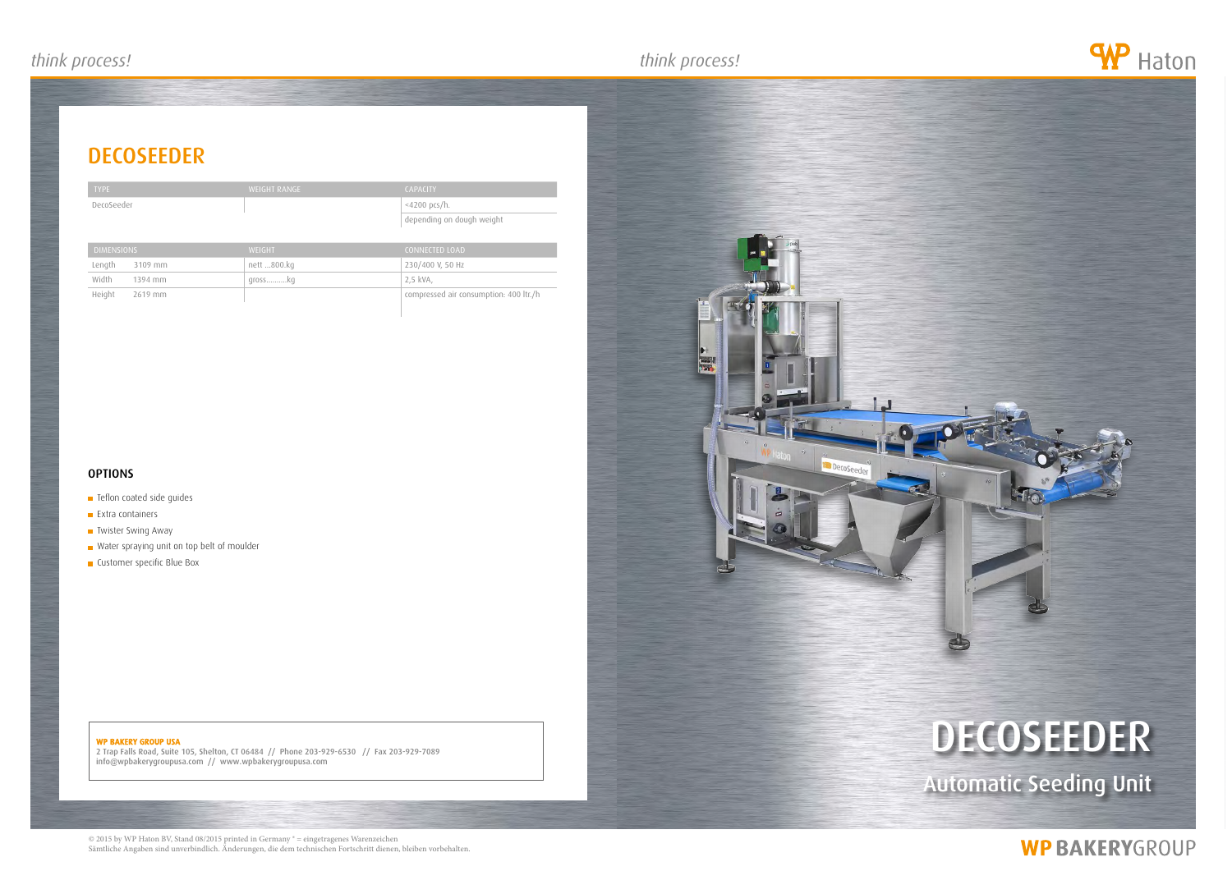## *think process! think process! think process!*

# **DECOSEEDER**

| ۱r |
|----|

#### WP BAKERY GROUP USA

2 Trap Falls Road, Suite 105, Shelton, CT 06484 // Phone 203-929-6530 // Fax 203-929-7089 info@wpbakerygroupusa.com // www.wpbakerygroupusa.com

# decoseeder

Automatic Seeding Unit

# **WP BAKERYGROUP**

© 2015 by WP Haton BV, Stand 08/2015 printed in Germany ® = eingetragenes Warenzeichen Sämtliche Angaben sind unverbindlich. Änderungen, die dem technischen Fortschritt dienen, bleiben vorbehalten.





| <b>TYPE</b> | WEIGHT RANGE | <b>CAPACITY</b>           |
|-------------|--------------|---------------------------|
| DecoSeeder  |              | <4200 pcs/h.              |
|             |              | depending on dough weight |

| <b>DIMENSIONS</b> | <b>WFIGHT</b> | CONNECTED LOAD                         |
|-------------------|---------------|----------------------------------------|
| Length<br>3109 mm | nett 800.kg   | 230/400 V, 50 Hz                       |
| Width<br>1394 mm  | grosskg       | 2.5 kVA.                               |
| Height<br>2619 mm |               | compressed air consumption: 400 ltr./h |

#### **OPTIONS**

- **Teflon coated side guides**
- **Extra containers**
- **Twister Swing Away**
- Water spraying unit on top belt of moulder
- **Customer specific Blue Box**